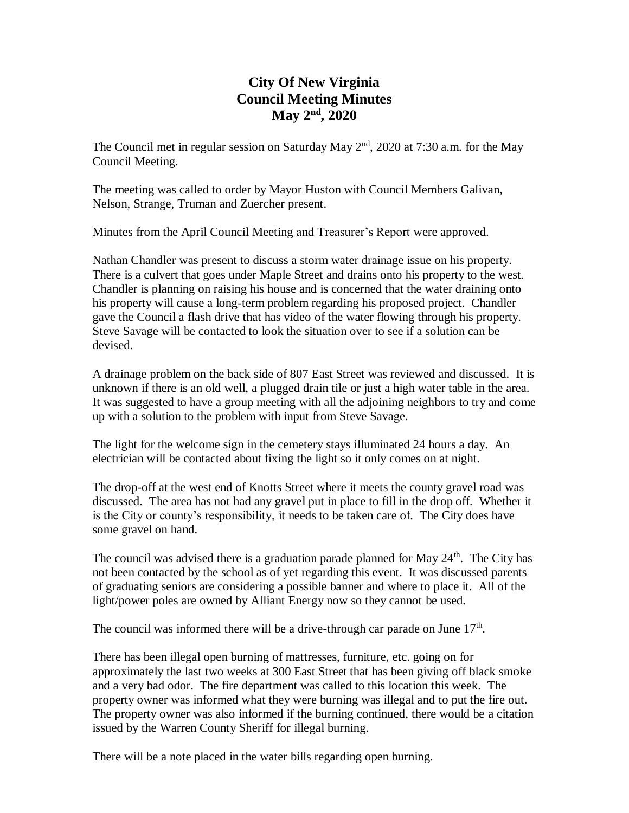# **City Of New Virginia Council Meeting Minutes May 2nd , 2020**

The Council met in regular session on Saturday May 2<sup>nd</sup>, 2020 at 7:30 a.m. for the May Council Meeting.

The meeting was called to order by Mayor Huston with Council Members Galivan, Nelson, Strange, Truman and Zuercher present.

Minutes from the April Council Meeting and Treasurer's Report were approved.

Nathan Chandler was present to discuss a storm water drainage issue on his property. There is a culvert that goes under Maple Street and drains onto his property to the west. Chandler is planning on raising his house and is concerned that the water draining onto his property will cause a long-term problem regarding his proposed project. Chandler gave the Council a flash drive that has video of the water flowing through his property. Steve Savage will be contacted to look the situation over to see if a solution can be devised.

A drainage problem on the back side of 807 East Street was reviewed and discussed. It is unknown if there is an old well, a plugged drain tile or just a high water table in the area. It was suggested to have a group meeting with all the adjoining neighbors to try and come up with a solution to the problem with input from Steve Savage.

The light for the welcome sign in the cemetery stays illuminated 24 hours a day. An electrician will be contacted about fixing the light so it only comes on at night.

The drop-off at the west end of Knotts Street where it meets the county gravel road was discussed. The area has not had any gravel put in place to fill in the drop off. Whether it is the City or county's responsibility, it needs to be taken care of. The City does have some gravel on hand.

The council was advised there is a graduation parade planned for May  $24<sup>th</sup>$ . The City has not been contacted by the school as of yet regarding this event. It was discussed parents of graduating seniors are considering a possible banner and where to place it. All of the light/power poles are owned by Alliant Energy now so they cannot be used.

The council was informed there will be a drive-through car parade on June  $17<sup>th</sup>$ .

There has been illegal open burning of mattresses, furniture, etc. going on for approximately the last two weeks at 300 East Street that has been giving off black smoke and a very bad odor. The fire department was called to this location this week. The property owner was informed what they were burning was illegal and to put the fire out. The property owner was also informed if the burning continued, there would be a citation issued by the Warren County Sheriff for illegal burning.

There will be a note placed in the water bills regarding open burning.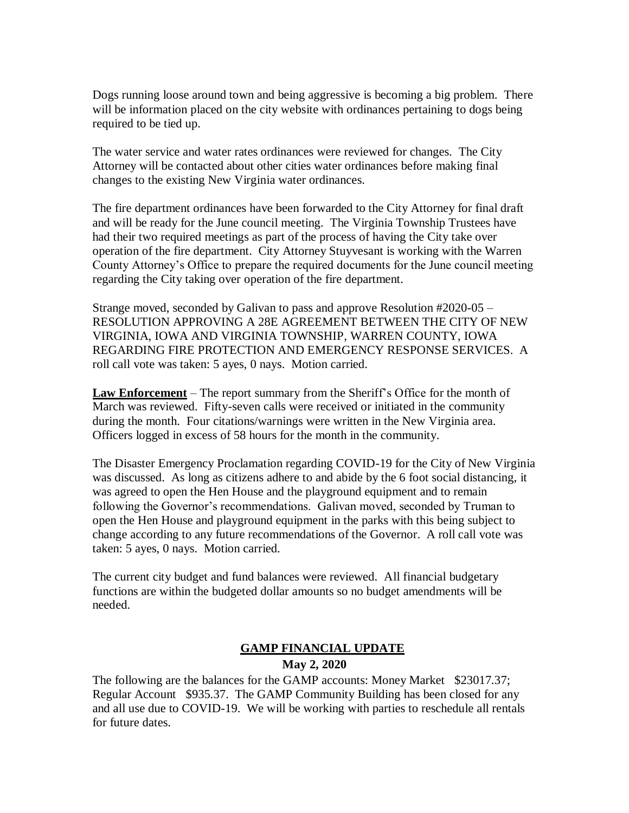Dogs running loose around town and being aggressive is becoming a big problem. There will be information placed on the city website with ordinances pertaining to dogs being required to be tied up.

The water service and water rates ordinances were reviewed for changes. The City Attorney will be contacted about other cities water ordinances before making final changes to the existing New Virginia water ordinances.

The fire department ordinances have been forwarded to the City Attorney for final draft and will be ready for the June council meeting. The Virginia Township Trustees have had their two required meetings as part of the process of having the City take over operation of the fire department. City Attorney Stuyvesant is working with the Warren County Attorney's Office to prepare the required documents for the June council meeting regarding the City taking over operation of the fire department.

Strange moved, seconded by Galivan to pass and approve Resolution #2020-05 – RESOLUTION APPROVING A 28E AGREEMENT BETWEEN THE CITY OF NEW VIRGINIA, IOWA AND VIRGINIA TOWNSHIP, WARREN COUNTY, IOWA REGARDING FIRE PROTECTION AND EMERGENCY RESPONSE SERVICES. A roll call vote was taken: 5 ayes, 0 nays. Motion carried.

**Law Enforcement** – The report summary from the Sheriff's Office for the month of March was reviewed. Fifty-seven calls were received or initiated in the community during the month. Four citations/warnings were written in the New Virginia area. Officers logged in excess of 58 hours for the month in the community.

The Disaster Emergency Proclamation regarding COVID-19 for the City of New Virginia was discussed. As long as citizens adhere to and abide by the 6 foot social distancing, it was agreed to open the Hen House and the playground equipment and to remain following the Governor's recommendations. Galivan moved, seconded by Truman to open the Hen House and playground equipment in the parks with this being subject to change according to any future recommendations of the Governor. A roll call vote was taken: 5 ayes, 0 nays. Motion carried.

The current city budget and fund balances were reviewed. All financial budgetary functions are within the budgeted dollar amounts so no budget amendments will be needed.

# **GAMP FINANCIAL UPDATE**

# **May 2, 2020**

The following are the balances for the GAMP accounts: Money Market \$23017.37; Regular Account \$935.37. The GAMP Community Building has been closed for any and all use due to COVID-19. We will be working with parties to reschedule all rentals for future dates.